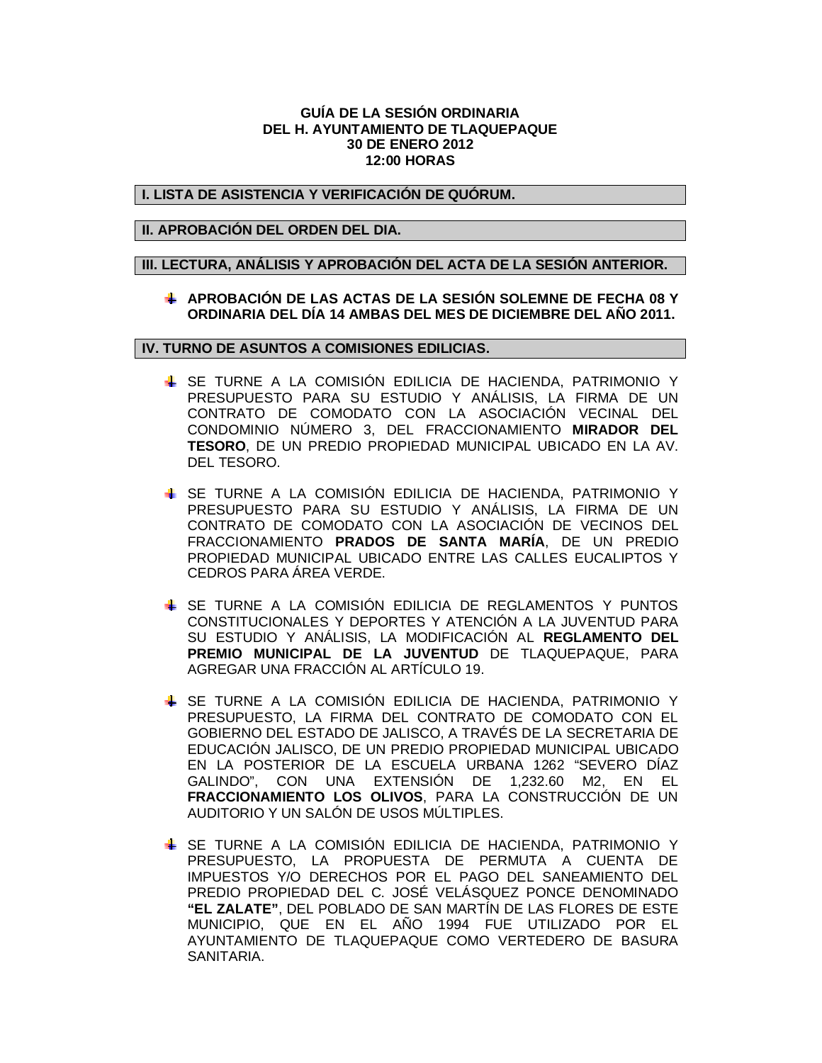#### **GUÍA DE LA SESIÓN ORDINARIA DEL H. AYUNTAMIENTO DE TLAQUEPAQUE 30 DE ENERO 2012 12:00 HORAS**

## **I. LISTA DE ASISTENCIA Y VERIFICACIÓN DE QUÓRUM.**

## **II. APROBACIÓN DEL ORDEN DEL DIA.**

## **III. LECTURA, ANÁLISIS Y APROBACIÓN DEL ACTA DE LA SESIÓN ANTERIOR.**

## **APROBACIÓN DE LAS ACTAS DE LA SESIÓN SOLEMNE DE FECHA 08 Y ORDINARIA DEL DÍA 14 AMBAS DEL MES DE DICIEMBRE DEL AÑO 2011.**

# **IV. TURNO DE ASUNTOS A COMISIONES EDILICIAS.**

- SE TURNE A LA COMISIÓN EDILICIA DE HACIENDA, PATRIMONIO Y PRESUPUESTO PARA SU ESTUDIO Y ANÁLISIS, LA FIRMA DE UN CONTRATO DE COMODATO CON LA ASOCIACIÓN VECINAL DEL CONDOMINIO NÚMERO 3, DEL FRACCIONAMIENTO **MIRADOR DEL TESORO**, DE UN PREDIO PROPIEDAD MUNICIPAL UBICADO EN LA AV. DEL TESORO.
- SE TURNE A LA COMISIÓN EDILICIA DE HACIENDA, PATRIMONIO Y PRESUPUESTO PARA SU ESTUDIO Y ANÁLISIS, LA FIRMA DE UN CONTRATO DE COMODATO CON LA ASOCIACIÓN DE VECINOS DEL FRACCIONAMIENTO **PRADOS DE SANTA MARÍA**, DE UN PREDIO PROPIEDAD MUNICIPAL UBICADO ENTRE LAS CALLES EUCALIPTOS Y CEDROS PARA ÁREA VERDE.
- SE TURNE A LA COMISIÓN EDILICIA DE REGLAMENTOS Y PUNTOS CONSTITUCIONALES Y DEPORTES Y ATENCIÓN A LA JUVENTUD PARA SU ESTUDIO Y ANÁLISIS, LA MODIFICACIÓN AL **REGLAMENTO DEL PREMIO MUNICIPAL DE LA JUVENTUD** DE TLAQUEPAQUE, PARA AGREGAR UNA FRACCIÓN AL ARTÍCULO 19.
- SE TURNE A LA COMISIÓN EDILICIA DE HACIENDA, PATRIMONIO Y PRESUPUESTO, LA FIRMA DEL CONTRATO DE COMODATO CON EL GOBIERNO DEL ESTADO DE JALISCO, A TRAVÉS DE LA SECRETARIA DE EDUCACIÓN JALISCO, DE UN PREDIO PROPIEDAD MUNICIPAL UBICADO EN LA POSTERIOR DE LA ESCUELA URBANA 1262 "SEVERO DÍAZ GALINDO", CON UNA EXTENSIÓN DE 1,232.60 M2, EN EL **FRACCIONAMIENTO LOS OLIVOS**, PARA LA CONSTRUCCIÓN DE UN AUDITORIO Y UN SALÓN DE USOS MÚLTIPLES.
- SE TURNE A LA COMISIÓN EDILICIA DE HACIENDA, PATRIMONIO Y PRESUPUESTO, LA PROPUESTA DE PERMUTA A CUENTA DE IMPUESTOS Y/O DERECHOS POR EL PAGO DEL SANEAMIENTO DEL PREDIO PROPIEDAD DEL C. JOSÉ VELÁSQUEZ PONCE DENOMINADO **"EL ZALATE"**, DEL POBLADO DE SAN MARTÍN DE LAS FLORES DE ESTE MUNICIPIO, QUE EN EL AÑO 1994 FUE UTILIZADO POR EL AYUNTAMIENTO DE TLAQUEPAQUE COMO VERTEDERO DE BASURA SANITARIA.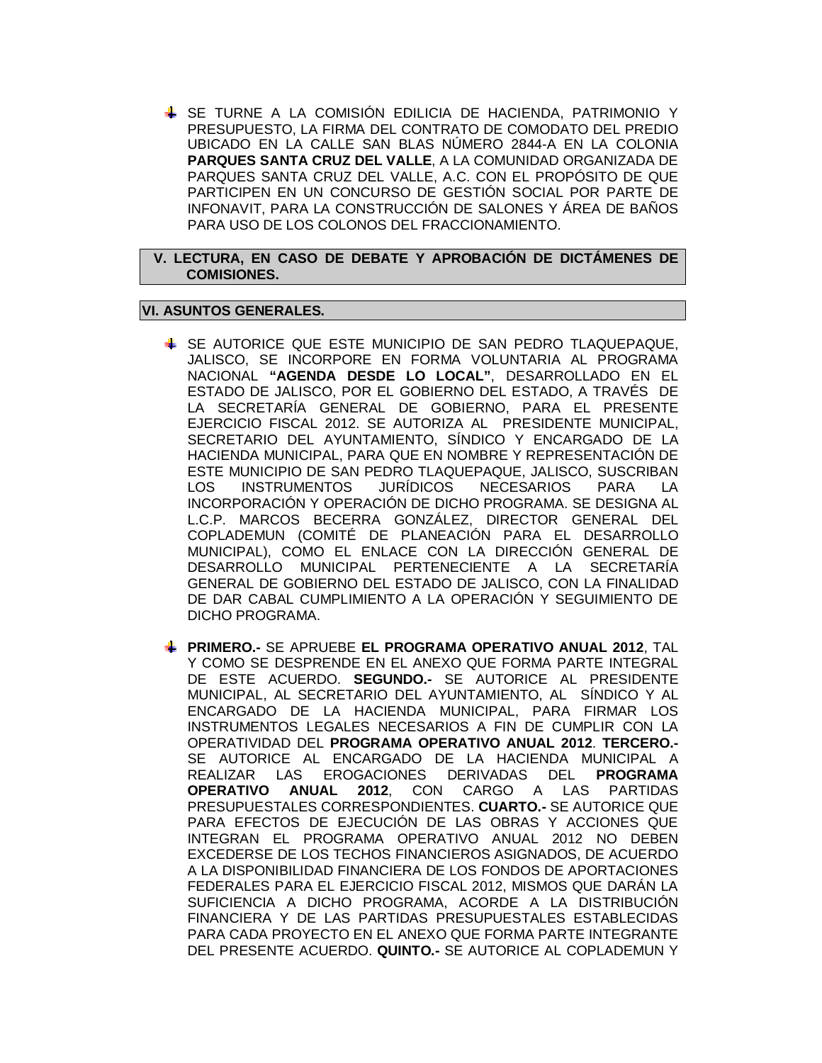SE TURNE A LA COMISIÓN EDILICIA DE HACIENDA, PATRIMONIO Y PRESUPUESTO, LA FIRMA DEL CONTRATO DE COMODATO DEL PREDIO UBICADO EN LA CALLE SAN BLAS NÚMERO 2844-A EN LA COLONIA **PARQUES SANTA CRUZ DEL VALLE**, A LA COMUNIDAD ORGANIZADA DE PARQUES SANTA CRUZ DEL VALLE, A.C. CON EL PROPÓSITO DE QUE PARTICIPEN EN UN CONCURSO DE GESTIÓN SOCIAL POR PARTE DE INFONAVIT, PARA LA CONSTRUCCIÓN DE SALONES Y ÁREA DE BAÑOS PARA USO DE LOS COLONOS DEL FRACCIONAMIENTO.

## **V. LECTURA, EN CASO DE DEBATE Y APROBACIÓN DE DICTÁMENES DE COMISIONES.**

## **VI. ASUNTOS GENERALES.**

- SE AUTORICE QUE ESTE MUNICIPIO DE SAN PEDRO TLAQUEPAQUE, JALISCO, SE INCORPORE EN FORMA VOLUNTARIA AL PROGRAMA NACIONAL **"AGENDA DESDE LO LOCAL"**, DESARROLLADO EN EL ESTADO DE JALISCO, POR EL GOBIERNO DEL ESTADO, A TRAVÉS DE LA SECRETARÍA GENERAL DE GOBIERNO, PARA EL PRESENTE EJERCICIO FISCAL 2012. SE AUTORIZA AL PRESIDENTE MUNICIPAL, SECRETARIO DEL AYUNTAMIENTO, SÍNDICO Y ENCARGADO DE LA HACIENDA MUNICIPAL, PARA QUE EN NOMBRE Y REPRESENTACIÓN DE ESTE MUNICIPIO DE SAN PEDRO TLAQUEPAQUE, JALISCO, SUSCRIBAN LOS INSTRUMENTOS JURÍDICOS NECESARIOS PARA LA INCORPORACIÓN Y OPERACIÓN DE DICHO PROGRAMA. SE DESIGNA AL L.C.P. MARCOS BECERRA GONZÁLEZ, DIRECTOR GENERAL DEL COPLADEMUN (COMITÉ DE PLANEACIÓN PARA EL DESARROLLO MUNICIPAL), COMO EL ENLACE CON LA DIRECCIÓN GENERAL DE DESARROLLO MUNICIPAL PERTENECIENTE A LA SECRETARÍA GENERAL DE GOBIERNO DEL ESTADO DE JALISCO, CON LA FINALIDAD DE DAR CABAL CUMPLIMIENTO A LA OPERACIÓN Y SEGUIMIENTO DE DICHO PROGRAMA.
- **PRIMERO.-** SE APRUEBE **EL PROGRAMA OPERATIVO ANUAL 2012**, TAL Y COMO SE DESPRENDE EN EL ANEXO QUE FORMA PARTE INTEGRAL DE ESTE ACUERDO. **SEGUNDO.-** SE AUTORICE AL PRESIDENTE MUNICIPAL, AL SECRETARIO DEL AYUNTAMIENTO, AL SÍNDICO Y AL ENCARGADO DE LA HACIENDA MUNICIPAL, PARA FIRMAR LOS INSTRUMENTOS LEGALES NECESARIOS A FIN DE CUMPLIR CON LA OPERATIVIDAD DEL **PROGRAMA OPERATIVO ANUAL 2012**. **TERCERO.-** SE AUTORICE AL ENCARGADO DE LA HACIENDA MUNICIPAL A REALIZAR LAS EROGACIONES DERIVADAS DEL **PROGRAMA OPERATIVO ANUAL 2012**, CON CARGO A LAS PARTIDAS PRESUPUESTALES CORRESPONDIENTES. **CUARTO.-** SE AUTORICE QUE PARA EFECTOS DE EJECUCIÓN DE LAS OBRAS Y ACCIONES QUE INTEGRAN EL PROGRAMA OPERATIVO ANUAL 2012 NO DEBEN EXCEDERSE DE LOS TECHOS FINANCIEROS ASIGNADOS, DE ACUERDO A LA DISPONIBILIDAD FINANCIERA DE LOS FONDOS DE APORTACIONES FEDERALES PARA EL EJERCICIO FISCAL 2012, MISMOS QUE DARÁN LA SUFICIENCIA A DICHO PROGRAMA, ACORDE A LA DISTRIBUCIÓN FINANCIERA Y DE LAS PARTIDAS PRESUPUESTALES ESTABLECIDAS PARA CADA PROYECTO EN EL ANEXO QUE FORMA PARTE INTEGRANTE DEL PRESENTE ACUERDO. **QUINTO.-** SE AUTORICE AL COPLADEMUN Y